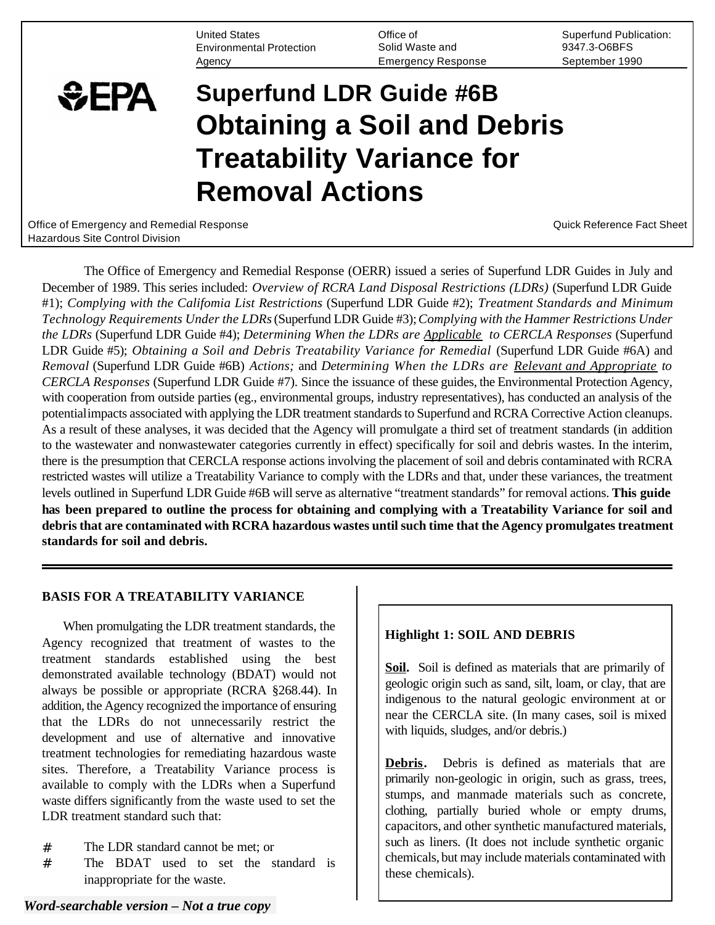United States **Superfund Publication:** Office of Superfund Publication: Environmental Protection Solid Waste and 9347.3-O6BFS Agency Emergency Response September 1990

# **Superfund LDR Guide #6B Obtaining a Soil and Debris Treatability Variance for Removal Actions**

Office of Emergency and Remedial Response Communication Control of Control Control Control Cuick Reference Fact Sheet Hazardous Site Control Division

**SEPA** 

The Office of Emergency and Remedial Response (OERR) issued a series of Superfund LDR Guides in July and December of 1989. This series included: *Overview of RCRA Land Disposal Restrictions (LDRs)* (Superfund LDR Guide #1); *Complying with the Califomia List Restrictions* (Superfund LDR Guide #2); *Treatment Standards and Minimum Technology Requirements Under the LDRs* (Superfund LDR Guide #3); *Complying with the Hammer Restrictions Under the LDRs* (Superfund LDR Guide #4); *Determining When the LDRs are Applicable to CERCLA Responses* (Superfund LDR Guide #5); *Obtaining a Soil and Debris Treatability Variance for Remedial* (Superfund LDR Guide #6A) and *Removal* (Superfund LDR Guide #6B) *Actions;* and *Determining When the LDRs are Relevant and Appropriate to CERCLA Responses* (Superfund LDR Guide #7). Since the issuance of these guides, the Environmental Protection Agency, with cooperation from outside parties (eg., environmental groups, industry representatives), has conducted an analysis of the potentialimpacts associated with applying the LDR treatment standards to Superfund and RCRA Corrective Action cleanups. As a result of these analyses, it was decided that the Agency will promulgate a third set of treatment standards (in addition to the wastewater and nonwastewater categories currently in effect) specifically for soil and debris wastes. In the interim, there is the presumption that CERCLA response actions involving the placement of soil and debris contaminated with RCRA restricted wastes will utilize a Treatability Variance to comply with the LDRs and that, under these variances, the treatment levels outlined in Superfund LDR Guide #6B will serve as alternative "treatment standards" for removal actions. **This guide has been prepared to outline the process for obtaining and complying with a Treatability Variance for soil and debris that are contaminated with RCRA hazardous wastes until such time that the Agency promulgates treatment standards for soil and debris.** 

## **BASIS FOR A TREATABILITY VARIANCE**

When promulgating the LDR treatment standards, the Agency recognized that treatment of wastes to the treatment standards established using the best demonstrated available technology (BDAT) would not always be possible or appropriate (RCRA §268.44). In addition, the Agency recognized the importance of ensuring that the LDRs do not unnecessarily restrict the development and use of alternative and innovative treatment technologies for remediating hazardous waste sites. Therefore, a Treatability Variance process is available to comply with the LDRs when a Superfund waste differs significantly from the waste used to set the LDR treatment standard such that:

- # The LDR standard cannot be met; or
- # The BDAT used to set the standard is inappropriate for the waste.

# **Highlight 1: SOIL AND DEBRIS**

**Soil.** Soil is defined as materials that are primarily of geologic origin such as sand, silt, loam, or clay, that are indigenous to the natural geologic environment at or near the CERCLA site. (In many cases, soil is mixed with liquids, sludges, and/or debris.)

**Debris.** Debris is defined as materials that are primarily non-geologic in origin, such as grass, trees, stumps, and manmade materials such as concrete, clothing, partially buried whole or empty drums, capacitors, and other synthetic manufactured materials, such as liners. (It does not include synthetic organic chemicals, but may include materials contaminated with these chemicals).

# *Word-searchable version – Not a true copy*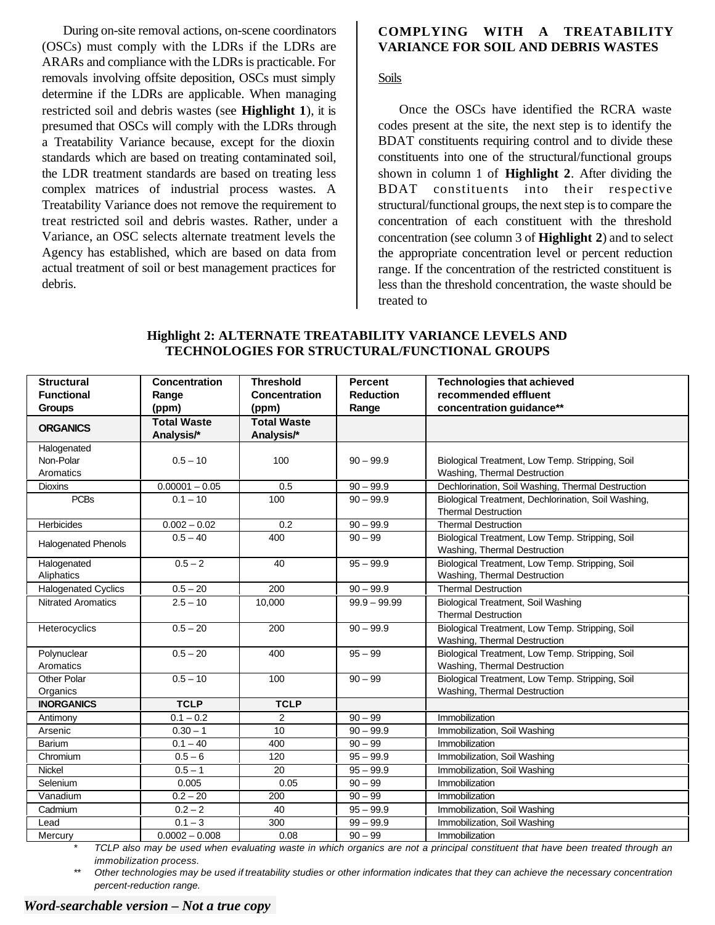During on-site removal actions, on-scene coordinators (OSCs) must comply with the LDRs if the LDRs are ARARs and compliance with the LDRs is practicable. For removals involving offsite deposition, OSCs must simply determine if the LDRs are applicable. When managing restricted soil and debris wastes (see **Highlight 1**), it is presumed that OSCs will comply with the LDRs through a Treatability Variance because, except for the dioxin standards which are based on treating contaminated soil, the LDR treatment standards are based on treating less complex matrices of industrial process wastes. A Treatability Variance does not remove the requirement to treat restricted soil and debris wastes. Rather, under a Variance, an OSC selects alternate treatment levels the Agency has established, which are based on data from actual treatment of soil or best management practices for debris.

## **COMPLYING WITH A TREATABILITY VARIANCE FOR SOIL AND DEBRIS WASTES**

#### Soils

Once the OSCs have identified the RCRA waste codes present at the site, the next step is to identify the BDAT constituents requiring control and to divide these constituents into one of the structural/functional groups shown in column 1 of **Highlight 2**. After dividing the BDAT constituents into their respective structural/functional groups, the next step is to compare the concentration of each constituent with the threshold concentration (see column 3 of **Highlight 2**) and to select the appropriate concentration level or percent reduction range. If the concentration of the restricted constituent is less than the threshold concentration, the waste should be treated to

| <b>Structural</b>          | <b>Concentration</b> | <b>Threshold</b>     | <b>Percent</b>   | <b>Technologies that achieved</b>                   |  |
|----------------------------|----------------------|----------------------|------------------|-----------------------------------------------------|--|
| <b>Functional</b>          | Range                | <b>Concentration</b> | <b>Reduction</b> | recommended effluent                                |  |
| <b>Groups</b>              | (ppm)                | (ppm)                | Range            | concentration guidance**                            |  |
| <b>ORGANICS</b>            | <b>Total Waste</b>   | <b>Total Waste</b>   |                  |                                                     |  |
|                            | Analysis/*           | Analysis/*           |                  |                                                     |  |
| Halogenated                |                      |                      |                  |                                                     |  |
| Non-Polar                  | $0.5 - 10$           | 100                  | $90 - 99.9$      | Biological Treatment, Low Temp. Stripping, Soil     |  |
| Aromatics                  |                      |                      |                  | Washing, Thermal Destruction                        |  |
| <b>Dioxins</b>             | $0.00001 - 0.05$     | 0.5                  | $90 - 99.9$      | Dechlorination, Soil Washing, Thermal Destruction   |  |
| <b>PCBs</b>                | $0.1 - 10$           | 100                  | $90 - 99.9$      | Biological Treatment, Dechlorination, Soil Washing, |  |
|                            |                      |                      |                  | <b>Thermal Destruction</b>                          |  |
| <b>Herbicides</b>          | $0.002 - 0.02$       | 0.2                  | $90 - 99.9$      | <b>Thermal Destruction</b>                          |  |
| <b>Halogenated Phenols</b> | $0.5 - 40$           | 400                  | $90 - 99$        | Biological Treatment, Low Temp. Stripping, Soil     |  |
|                            |                      |                      |                  | Washing, Thermal Destruction                        |  |
| Halogenated                | $0.5 - 2$            | 40                   | $95 - 99.9$      | Biological Treatment, Low Temp. Stripping, Soil     |  |
| Aliphatics                 |                      |                      |                  | Washing, Thermal Destruction                        |  |
| <b>Halogenated Cyclics</b> | $0.5 - 20$           | 200                  | $90 - 99.9$      | <b>Thermal Destruction</b>                          |  |
| <b>Nitrated Aromatics</b>  | $2.5 - 10$           | 10,000               | $99.9 - 99.99$   | <b>Biological Treatment, Soil Washing</b>           |  |
|                            |                      |                      |                  | <b>Thermal Destruction</b>                          |  |
| Heterocyclics              | $0.5 - 20$           | 200                  | $90 - 99.9$      | Biological Treatment, Low Temp. Stripping, Soil     |  |
|                            |                      |                      |                  | Washing, Thermal Destruction                        |  |
| Polynuclear                | $0.5 - 20$           | 400                  | $95 - 99$        | Biological Treatment, Low Temp. Stripping, Soil     |  |
| Aromatics                  |                      |                      |                  | Washing, Thermal Destruction                        |  |
| Other Polar                | $0.5 - 10$           | 100                  | $90 - 99$        | Biological Treatment, Low Temp. Stripping, Soil     |  |
| Organics                   |                      |                      |                  | Washing, Thermal Destruction                        |  |
| <b>INORGANICS</b>          | <b>TCLP</b>          | <b>TCLP</b>          |                  |                                                     |  |
| Antimony                   | $0.1 - 0.2$          | 2                    | $90 - 99$        | Immobilization                                      |  |
| Arsenic                    | $0.30 - 1$           | 10                   | $90 - 99.9$      | Immobilization, Soil Washing                        |  |
| <b>Barium</b>              | $0.1 - 40$           | 400                  | $90 - 99$        | Immobilization                                      |  |
| Chromium                   | $0.5 - 6$            | 120                  | $95 - 99.9$      | Immobilization, Soil Washing                        |  |
| Nickel                     | $0.5 - 1$            | 20                   | $95 - 99.9$      | Immobilization, Soil Washing                        |  |
| Selenium                   | 0.005                | 0.05                 | $90 - 99$        | Immobilization                                      |  |
| Vanadium                   | $0.2 - 20$           | 200                  | $90 - 99$        | Immobilization                                      |  |
| Cadmium                    | $0.2 - 2$            | 40                   | $95 - 99.9$      | Immobilization, Soil Washing                        |  |
| Lead                       | $0.1 - 3$            | 300                  | $99 - 99.9$      | Immobilization, Soil Washing                        |  |
| Mercury                    | $0.0002 - 0.008$     | 0.08                 | $90 - 99$        | Immobilization                                      |  |

**Highlight 2: ALTERNATE TREATABILITY VARIANCE LEVELS AND TECHNOLOGIES FOR STRUCTURAL/FUNCTIONAL GROUPS** 

*\* TCLP also may be used when evaluating waste in which organics are not a principal constituent that have been treated through an immobilization process.* 

*\*\* Other technologies may be used if treatability studies or other information indicates that they can achieve the necessary concentration percent-reduction range.* 

# *Word-searchable version – Not a true copy*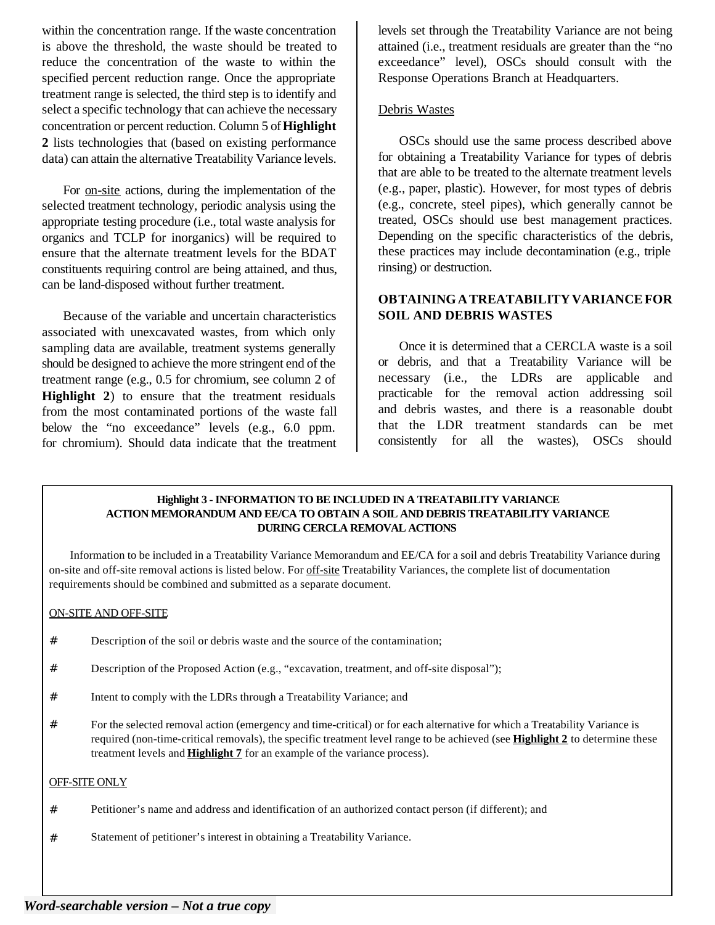within the concentration range. If the waste concentration is above the threshold, the waste should be treated to reduce the concentration of the waste to within the specified percent reduction range. Once the appropriate treatment range is selected, the third step is to identify and select a specific technology that can achieve the necessary concentration or percent reduction. Column 5 of **Highlight 2** lists technologies that (based on existing performance data) can attain the alternative Treatability Variance levels.

For on-site actions, during the implementation of the selected treatment technology, periodic analysis using the appropriate testing procedure (i.e., total waste analysis for organics and TCLP for inorganics) will be required to ensure that the alternate treatment levels for the BDAT constituents requiring control are being attained, and thus, can be land-disposed without further treatment.

Because of the variable and uncertain characteristics associated with unexcavated wastes, from which only sampling data are available, treatment systems generally should be designed to achieve the more stringent end of the treatment range (e.g., 0.5 for chromium, see column 2 of **Highlight 2**) to ensure that the treatment residuals from the most contaminated portions of the waste fall below the "no exceedance" levels (e.g., 6.0 ppm. for chromium). Should data indicate that the treatment

levels set through the Treatability Variance are not being attained (i.e., treatment residuals are greater than the "no exceedance" level), OSCs should consult with the Response Operations Branch at Headquarters.

## Debris Wastes

OSCs should use the same process described above for obtaining a Treatability Variance for types of debris that are able to be treated to the alternate treatment levels (e.g., paper, plastic). However, for most types of debris (e.g., concrete, steel pipes), which generally cannot be treated, OSCs should use best management practices. Depending on the specific characteristics of the debris, these practices may include decontamination (e.g., triple rinsing) or destruction.

## **OBTAINING A TREATABILITY VARIANCE FOR SOIL AND DEBRIS WASTES**

Once it is determined that a CERCLA waste is a soil or debris, and that a Treatability Variance will be necessary (i.e., the LDRs are applicable and practicable for the removal action addressing soil and debris wastes, and there is a reasonable doubt that the LDR treatment standards can be met consistently for all the wastes), OSCs should

#### **Highlight 3 - INFORMATION TO BE INCLUDED IN A TREATABILITY VARIANCE ACTION MEMORANDUM AND EE/CA TO OBTAIN A SOIL AND DEBRIS TREATABILITY VARIANCE DURING CERCLA REMOVAL ACTIONS**

Information to be included in a Treatability Variance Memorandum and EE/CA for a soil and debris Treatability Variance during on-site and off-site removal actions is listed below. For off-site Treatability Variances, the complete list of documentation requirements should be combined and submitted as a separate document.

#### ON-SITE AND OFF-SITE

- # Description of the soil or debris waste and the source of the contamination;
- # Description of the Proposed Action (e.g., "excavation, treatment, and off-site disposal");
- # Intent to comply with the LDRs through a Treatability Variance; and
- # For the selected removal action (emergency and time-critical) or for each alternative for which a Treatability Variance is required (non-time-critical removals), the specific treatment level range to be achieved (see **Highlight 2** to determine these treatment levels and **Highlight 7** for an example of the variance process).

#### OFF-SITE ONLY

- # Petitioner's name and address and identification of an authorized contact person (if different); and
- # Statement of petitioner's interest in obtaining a Treatability Variance.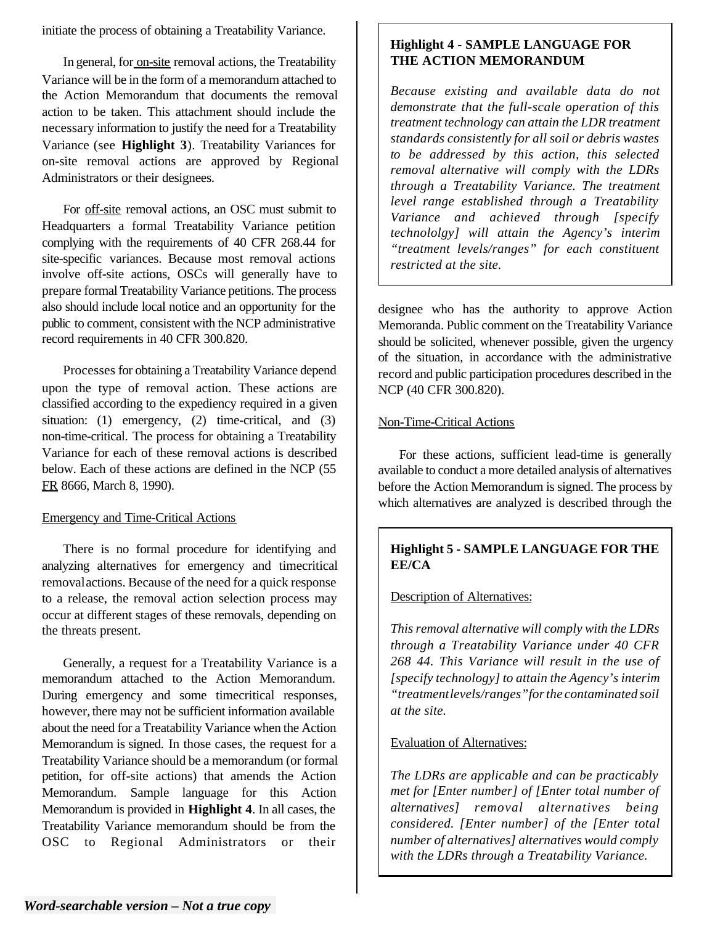initiate the process of obtaining a Treatability Variance.

In general, for on-site removal actions, the Treatability Variance will be in the form of a memorandum attached to the Action Memorandum that documents the removal action to be taken. This attachment should include the necessary information to justify the need for a Treatability Variance (see **Highlight 3**). Treatability Variances for on-site removal actions are approved by Regional Administrators or their designees.

For off-site removal actions, an OSC must submit to Headquarters a formal Treatability Variance petition complying with the requirements of 40 CFR 268.44 for site-specific variances. Because most removal actions involve off-site actions, OSCs will generally have to prepare formal Treatability Variance petitions. The process also should include local notice and an opportunity for the public to comment, consistent with the NCP administrative record requirements in 40 CFR 300.820.

Processes for obtaining a Treatability Variance depend upon the type of removal action. These actions are classified according to the expediency required in a given situation: (1) emergency, (2) time-critical, and (3) non-time-critical. The process for obtaining a Treatability Variance for each of these removal actions is described below. Each of these actions are defined in the NCP (55 FR 8666, March 8, 1990).

# Emergency and Time-Critical Actions

There is no formal procedure for identifying and analyzing alternatives for emergency and timecritical removalactions. Because of the need for a quick response to a release, the removal action selection process may occur at different stages of these removals, depending on the threats present.

Generally, a request for a Treatability Variance is a memorandum attached to the Action Memorandum. During emergency and some timecritical responses, however, there may not be sufficient information available about the need for a Treatability Variance when the Action Memorandum is signed. In those cases, the request for a Treatability Variance should be a memorandum (or formal petition, for off-site actions) that amends the Action Memorandum. Sample language for this Action Memorandum is provided in **Highlight 4**. In all cases, the Treatability Variance memorandum should be from the OSC to Regional Administrators or their

# **Highlight 4 - SAMPLE LANGUAGE FOR THE ACTION MEMORANDUM**

*Because existing and available data do not demonstrate that the full-scale operation of this treatment technology can attain the LDR treatment standards consistently for all soil or debris wastes to be addressed by this action, this selected removal alternative will comply with the LDRs through a Treatability Variance. The treatment level range established through a Treatability Variance and achieved through [specify technololgy] will attain the Agency's interim "treatment levels/ranges" for each constituent restricted at the site.* 

designee who has the authority to approve Action Memoranda. Public comment on the Treatability Variance should be solicited, whenever possible, given the urgency of the situation, in accordance with the administrative record and public participation procedures described in the NCP (40 CFR 300.820).

# Non-Time-Critical Actions

For these actions, sufficient lead-time is generally available to conduct a more detailed analysis of alternatives before the Action Memorandum is signed. The process by which alternatives are analyzed is described through the

# **Highlight 5 - SAMPLE LANGUAGE FOR THE EE/CA**

Description of Alternatives:

*This removal alternative will comply with the LDRs through a Treatability Variance under 40 CFR 268 44. This Variance will result in the use of [specify technology] to attain the Agency's interim "treatmentlevels/ranges"for the contaminated soil at the site.* 

# Evaluation of Alternatives:

*The LDRs are applicable and can be practicably met for [Enter number] of [Enter total number of alternatives] removal alternatives being considered. [Enter number] of the [Enter total number of alternatives] alternatives would comply with the LDRs through a Treatability Variance.*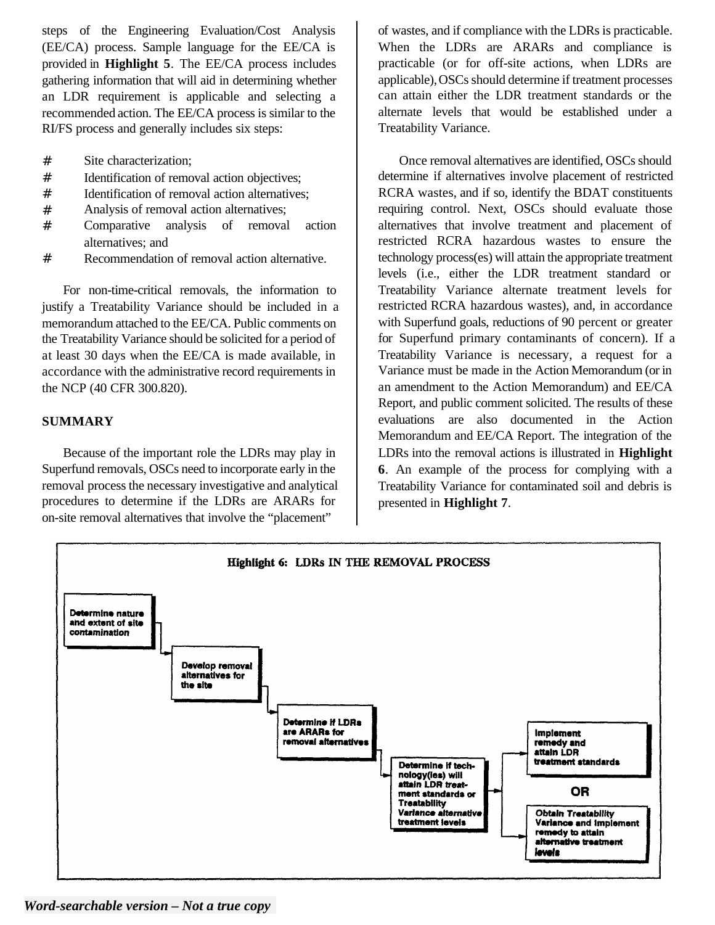steps of the Engineering Evaluation/Cost Analysis (EE/CA) process. Sample language for the EE/CA is provided in **Highlight 5**. The EE/CA process includes gathering information that will aid in determining whether an LDR requirement is applicable and selecting a recommended action. The EE/CA process is similar to the RI/FS process and generally includes six steps:

- # Site characterization;
- # Identification of removal action objectives;
- # Identification of removal action alternatives;
- # Analysis of removal action alternatives;
- # Comparative analysis of removal action alternatives; and
- # Recommendation of removal action alternative.

For non-time-critical removals, the information to justify a Treatability Variance should be included in a memorandum attached to the EE/CA. Public comments on the Treatability Variance should be solicited for a period of at least 30 days when the EE/CA is made available, in accordance with the administrative record requirements in the NCP (40 CFR 300.820).

## **SUMMARY**

Because of the important role the LDRs may play in Superfund removals, OSCs need to incorporate early in the removal process the necessary investigative and analytical procedures to determine if the LDRs are ARARs for on-site removal alternatives that involve the "placement"

of wastes, and if compliance with the LDRs is practicable. When the LDRs are ARARs and compliance is practicable (or for off-site actions, when LDRs are applicable), OSCs should determine if treatment processes can attain either the LDR treatment standards or the alternate levels that would be established under a Treatability Variance.

Once removal alternatives are identified, OSCs should determine if alternatives involve placement of restricted RCRA wastes, and if so, identify the BDAT constituents requiring control. Next, OSCs should evaluate those alternatives that involve treatment and placement of restricted RCRA hazardous wastes to ensure the technology process(es) will attain the appropriate treatment levels (i.e., either the LDR treatment standard or Treatability Variance alternate treatment levels for restricted RCRA hazardous wastes), and, in accordance with Superfund goals, reductions of 90 percent or greater for Superfund primary contaminants of concern). If a Treatability Variance is necessary, a request for a Variance must be made in the Action Memorandum (or in an amendment to the Action Memorandum) and EE/CA Report, and public comment solicited. The results of these evaluations are also documented in the Action Memorandum and EE/CA Report. The integration of the LDRs into the removal actions is illustrated in **Highlight 6**. An example of the process for complying with a Treatability Variance for contaminated soil and debris is presented in **Highlight 7**.



*Word-searchable version – Not a true copy*